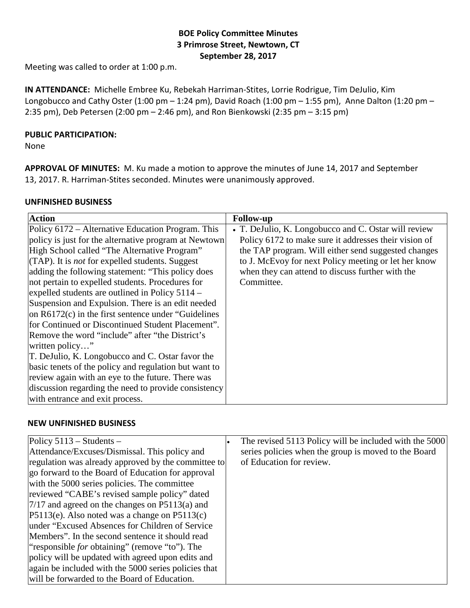## **BOE Policy Committee Minutes 3 Primrose Street, Newtown, CT September 28, 2017**

Meeting was called to order at 1:00 p.m.

**IN ATTENDANCE:** Michelle Embree Ku, Rebekah Harriman-Stites, Lorrie Rodrigue, Tim DeJulio, Kim Longobucco and Cathy Oster (1:00 pm – 1:24 pm), David Roach (1:00 pm – 1:55 pm), Anne Dalton (1:20 pm – 2:35 pm), Deb Petersen (2:00 pm – 2:46 pm), and Ron Bienkowski (2:35 pm – 3:15 pm)

### **PUBLIC PARTICIPATION:**

None

**APPROVAL OF MINUTES:** M. Ku made a motion to approve the minutes of June 14, 2017 and September 13, 2017. R. Harriman-Stites seconded. Minutes were unanimously approved.

## **UNFINISHED BUSINESS**

| <b>Action</b>                                          | <b>Follow-up</b>                                      |
|--------------------------------------------------------|-------------------------------------------------------|
| Policy 6172 – Alternative Education Program. This      | • T. DeJulio, K. Longobucco and C. Ostar will review  |
| policy is just for the alternative program at Newtown  | Policy 6172 to make sure it addresses their vision of |
| High School called "The Alternative Program"           | the TAP program. Will either send suggested changes   |
| (TAP). It is <i>not</i> for expelled students. Suggest | to J. McEvoy for next Policy meeting or let her know  |
| adding the following statement: "This policy does"     | when they can attend to discuss further with the      |
| not pertain to expelled students. Procedures for       | Committee.                                            |
| expelled students are outlined in Policy $5114 -$      |                                                       |
| Suspension and Expulsion. There is an edit needed      |                                                       |
| on $R6172(c)$ in the first sentence under "Guidelines" |                                                       |
| for Continued or Discontinued Student Placement".      |                                                       |
| Remove the word "include" after "the District's        |                                                       |
| written policy"                                        |                                                       |
| T. DeJulio, K. Longobucco and C. Ostar favor the       |                                                       |
| basic tenets of the policy and regulation but want to  |                                                       |
| review again with an eye to the future. There was      |                                                       |
| discussion regarding the need to provide consistency   |                                                       |
| with entrance and exit process.                        |                                                       |

#### **NEW UNFINISHED BUSINESS**

| Policy $5113 -$ Students –                            | The revised 5113 Policy will be included with the 5000 |
|-------------------------------------------------------|--------------------------------------------------------|
| Attendance/Excuses/Dismissal. This policy and         | series policies when the group is moved to the Board   |
| regulation was already approved by the committee to   | of Education for review.                               |
| go forward to the Board of Education for approval     |                                                        |
| with the 5000 series policies. The committee          |                                                        |
| reviewed "CABE's revised sample policy" dated         |                                                        |
| $7/17$ and agreed on the changes on P5113(a) and      |                                                        |
| $ P5113(e)$ . Also noted was a change on $P5113(c)$   |                                                        |
| under "Excused Absences for Children of Service"      |                                                        |
| Members". In the second sentence it should read       |                                                        |
| "responsible <i>for</i> obtaining" (remove "to"). The |                                                        |
| policy will be updated with agreed upon edits and     |                                                        |
| again be included with the 5000 series policies that  |                                                        |
| will be forwarded to the Board of Education.          |                                                        |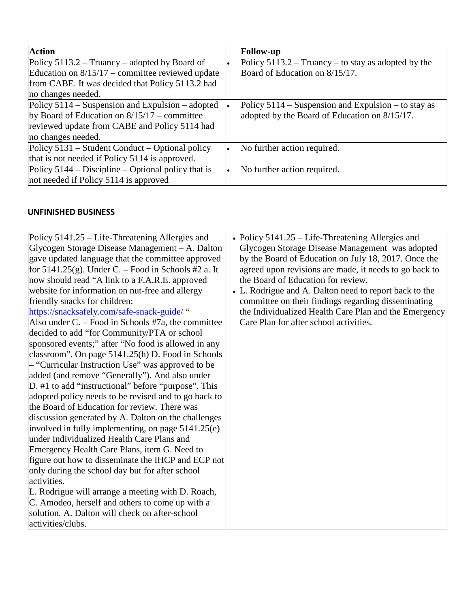| <b>Action</b>                                        | <b>Follow-up</b>                                      |
|------------------------------------------------------|-------------------------------------------------------|
| Policy $5113.2 - Truancy - adopted by Board of$      | Policy $5113.2 - Truancy - to stay as adopted by the$ |
| Education on $8/15/17$ – committee reviewed update   | Board of Education on 8/15/17.                        |
| from CABE. It was decided that Policy 5113.2 had     |                                                       |
| no changes needed.                                   |                                                       |
| Policy $5114$ – Suspension and Expulsion – adopted   | Policy $5114$ – Suspension and Expulsion – to stay as |
| by Board of Education on $8/15/17$ – committee       | adopted by the Board of Education on 8/15/17.         |
| reviewed update from CABE and Policy 5114 had        |                                                       |
| no changes needed.                                   |                                                       |
| Policy 5131 – Student Conduct – Optional policy      | No further action required.                           |
| that is not needed if Policy 5114 is approved.       |                                                       |
| Policy $5144 - Discipline - Optional policy that is$ | No further action required.                           |
| not needed if Policy 5114 is approved                |                                                       |

## **UNFINISHED BUSINESS**

| Policy 5141.25 – Life-Threatening Allergies and        | • Policy $5141.25$ – Life-Threatening Allergies and    |
|--------------------------------------------------------|--------------------------------------------------------|
| Glycogen Storage Disease Management – A. Dalton        | Glycogen Storage Disease Management was adopted        |
| gave updated language that the committee approved      | by the Board of Education on July 18, 2017. Once the   |
| for $5141.25(g)$ . Under C. – Food in Schools #2 a. It | agreed upon revisions are made, it needs to go back to |
| now should read "A link to a F.A.R.E. approved         | the Board of Education for review.                     |
| website for information on nut-free and allergy        | • L. Rodrigue and A. Dalton need to report back to the |
| friendly snacks for children:                          | committee on their findings regarding disseminating    |
| https://snacksafely.com/safe-snack-guide/"             | the Individualized Health Care Plan and the Emergency  |
| Also under $C.$ – Food in Schools #7a, the committee   | Care Plan for after school activities.                 |
| decided to add "for Community/PTA or school            |                                                        |
| sponsored events;" after "No food is allowed in any    |                                                        |
| classroom". On page 5141.25(h) D. Food in Schools      |                                                        |
| - "Curricular Instruction Use" was approved to be      |                                                        |
| added (and remove "Generally"). And also under         |                                                        |
| D. #1 to add "instructional" before "purpose". This    |                                                        |
| adopted policy needs to be revised and to go back to   |                                                        |
| the Board of Education for review. There was           |                                                        |
| discussion generated by A. Dalton on the challenges    |                                                        |
| involved in fully implementing, on page $5141.25(e)$   |                                                        |
| under Individualized Health Care Plans and             |                                                        |
| Emergency Health Care Plans, item G. Need to           |                                                        |
| figure out how to disseminate the IHCP and ECP not     |                                                        |
| only during the school day but for after school        |                                                        |
| activities.                                            |                                                        |
| L. Rodrigue will arrange a meeting with D. Roach,      |                                                        |
| C. Amodeo, herself and others to come up with a        |                                                        |
| solution. A. Dalton will check on after-school         |                                                        |
| activities/clubs.                                      |                                                        |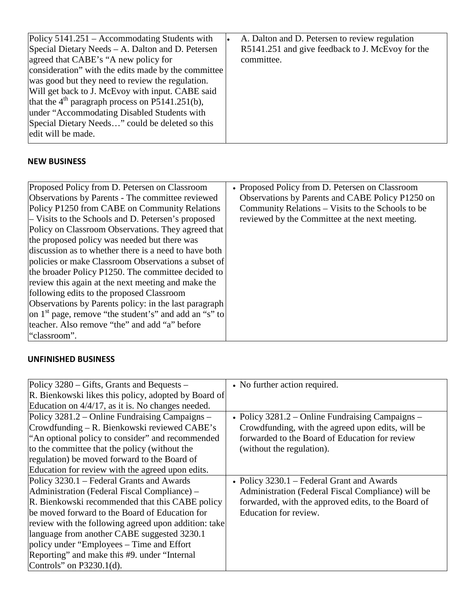# **NEW BUSINESS**

| • Proposed Policy from D. Petersen on Classroom         |
|---------------------------------------------------------|
| Observations by Parents and CABE Policy P1250 on        |
| Community Relations – Visits to the Schools to be       |
| reviewed by the Committee at the next meeting.          |
| Policy on Classroom Observations. They agreed that      |
|                                                         |
| discussion as to whether there is a need to have both   |
| policies or make Classroom Observations a subset of     |
| the broader Policy P1250. The committee decided to      |
|                                                         |
|                                                         |
| Observations by Parents policy: in the last paragraph   |
| on $1st$ page, remove "the student's" and add an "s" to |
|                                                         |
|                                                         |
|                                                         |

## **UNFINISHED BUSINESS**

| Policy 3280 – Gifts, Grants and Bequests –           | • No further action required.                       |
|------------------------------------------------------|-----------------------------------------------------|
| R. Bienkowski likes this policy, adopted by Board of |                                                     |
| Education on 4/4/17, as it is. No changes needed.    |                                                     |
| Policy 3281.2 – Online Fundraising Campaigns –       | • Policy $3281.2$ – Online Fundraising Campaigns –  |
| Crowdfunding – R. Bienkowski reviewed CABE's         | Crowdfunding, with the agreed upon edits, will be   |
| "An optional policy to consider" and recommended     | forwarded to the Board of Education for review      |
| to the committee that the policy (without the        | (without the regulation).                           |
| regulation) be moved forward to the Board of         |                                                     |
| Education for review with the agreed upon edits.     |                                                     |
| Policy 3230.1 – Federal Grants and Awards            | • Policy 3230.1 – Federal Grant and Awards          |
| Administration (Federal Fiscal Compliance) –         | Administration (Federal Fiscal Compliance) will be  |
| R. Bienkowski recommended that this CABE policy      | forwarded, with the approved edits, to the Board of |
| be moved forward to the Board of Education for       | Education for review.                               |
| review with the following agreed upon addition: take |                                                     |
| language from another CABE suggested 3230.1          |                                                     |
| policy under "Employees – Time and Effort"           |                                                     |
| Reporting" and make this #9. under "Internal"        |                                                     |
| Controls" on $P3230.1(d)$ .                          |                                                     |